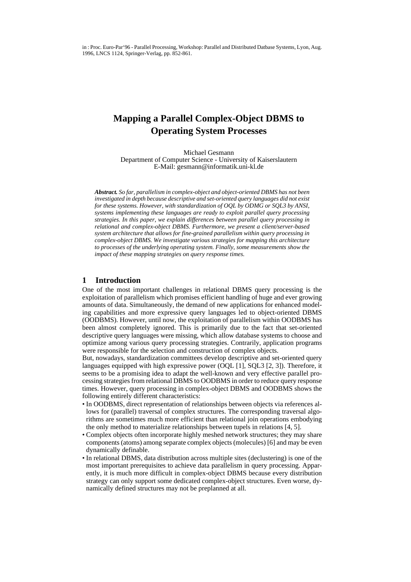in : Proc. Euro-Par'96 - Parallel Processing, Workshop: Parallel and Distributed Datbase Systems, Lyon, Aug. 1996, LNCS 1124, Springer-Verlag, pp. 852-861.

## **Mapping a Parallel Complex-Object DBMS to Operating System Processes**

Michael Gesmann Department of Computer Science - University of Kaiserslautern E-Mail: gesmann@informatik.uni-kl.de

*Abstract. So far, parallelism in complex-object and object-oriented DBMS has not been investigated in depth because descriptive and set-oriented query languages did not exist for these systems. However, with standardization of OQL by ODMG or SQL3 by ANSI, systems implementing these languages are ready to exploit parallel query processing strategies. In this paper, we explain differences between parallel query processing in relational and complex-object DBMS. Furthermore, we present a client/server-based system architecture that allows for fine-grained parallelism within query processing in complex-object DBMS. We investigate various strategies for mapping this architecture to processes of the underlying operating system. Finally, some measurements show the impact of these mapping strategies on query response times.*

### **1 Introduction**

One of the most important challenges in relational DBMS query processing is the exploitation of parallelism which promises efficient handling of huge and ever growing amounts of data. Simultaneously, the demand of new applications for enhanced modeling capabilities and more expressive query languages led to object-oriented DBMS (OODBMS). However, until now, the exploitation of parallelism within OODBMS has been almost completely ignored. This is primarily due to the fact that set-oriented descriptive query languages were missing, which allow database systems to choose and optimize among various query processing strategies. Contrarily, application programs were responsible for the selection and construction of complex objects.

But, nowadays, standardization committees develop descriptive and set-oriented query languages equipped with high expressive power (OQL [1], SQL3 [2, 3]). Therefore, it seems to be a promising idea to adapt the well-known and very effective parallel processing strategies from relational DBMS to OODBMS in order to reduce query response times. However, query processing in complex-object DBMS and OODBMS shows the following entirely different characteristics:

- In OODBMS, direct representation of relationships between objects via references allows for (parallel) traversal of complex structures. The corresponding traversal algorithms are sometimes much more efficient than relational join operations embodying the only method to materialize relationships between tupels in relations [4, 5].
- Complex objects often incorporate highly meshed network structures; they may share components (atoms) among separate complex objects (molecules) [6] and may be even dynamically definable.
- In relational DBMS, data distribution across multiple sites (declustering) is one of the most important prerequisites to achieve data parallelism in query processing. Apparently, it is much more difficult in complex-object DBMS because every distribution strategy can only support some dedicated complex-object structures. Even worse, dynamically defined structures may not be preplanned at all.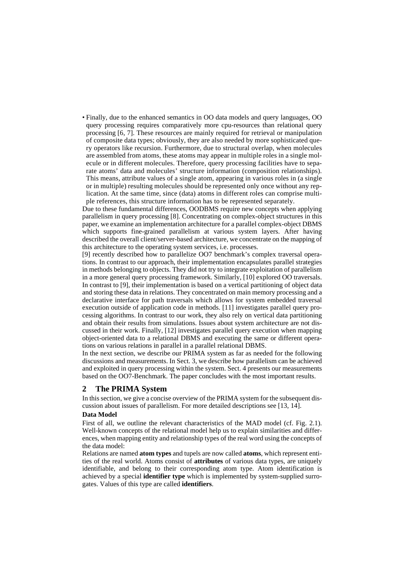• Finally, due to the enhanced semantics in OO data models and query languages, OO query processing requires comparatively more cpu-resources than relational query processing [6, 7]. These resources are mainly required for retrieval or manipulation of composite data types; obviously, they are also needed by more sophisticated query operators like recursion. Furthermore, due to structural overlap, when molecules are assembled from atoms, these atoms may appear in multiple roles in a single molecule or in different molecules. Therefore, query processing facilities have to separate atoms' data and molecules' structure information (composition relationships). This means, attribute values of a single atom, appearing in various roles in (a single or in multiple) resulting molecules should be represented only once without any replication. At the same time, since (data) atoms in different roles can comprise multiple references, this structure information has to be represented separately.

Due to these fundamental differences, OODBMS require new concepts when applying parallelism in query processing [8]. Concentrating on complex-object structures in this paper, we examine an implementation architecture for a parallel complex-object DBMS which supports fine-grained parallelism at various system layers. After having described the overall client/server-based architecture, we concentrate on the mapping of this architecture to the operating system services, i.e. processes.

[9] recently described how to parallelize OO7 benchmark's complex traversal operations. In contrast to our approach, their implementation encapsulates parallel strategies in methods belonging to objects. They did not try to integrate exploitation of parallelism in a more general query processing framework. Similarly, [10] explored OO traversals. In contrast to [9], their implementation is based on a vertical partitioning of object data and storing these data in relations. They concentrated on main memory processing and a declarative interface for path traversals which allows for system embedded traversal execution outside of application code in methods. [11] investigates parallel query processing algorithms. In contrast to our work, they also rely on vertical data partitioning and obtain their results from simulations. Issues about system architecture are not discussed in their work. Finally, [12] investigates parallel query execution when mapping object-oriented data to a relational DBMS and executing the same or different operations on various relations in parallel in a parallel relational DBMS.

In the next section, we describe our PRIMA system as far as needed for the following discussions and measurements. In Sect. 3, we describe how parallelism can be achieved and exploited in query processing within the system. Sect. 4 presents our measurements based on the OO7-Benchmark. The paper concludes with the most important results.

## **2 The PRIMA System**

In this section, we give a concise overview of the PRIMA system for the subsequent discussion about issues of parallelism. For more detailed descriptions see [13, 14].

#### **Data Model**

First of all, we outline the relevant characteristics of the MAD model (cf. Fig. 2.1). Well-known concepts of the relational model help us to explain similarities and differences, when mapping entity and relationship types of the real word using the concepts of the data model:

Relations are named **atom types** and tupels are now called **atoms**, which represent entities of the real world. Atoms consist of **attributes** of various data types, are uniquely identifiable, and belong to their corresponding atom type. Atom identification is achieved by a special **identifier type** which is implemented by system-supplied surrogates. Values of this type are called **identifiers**.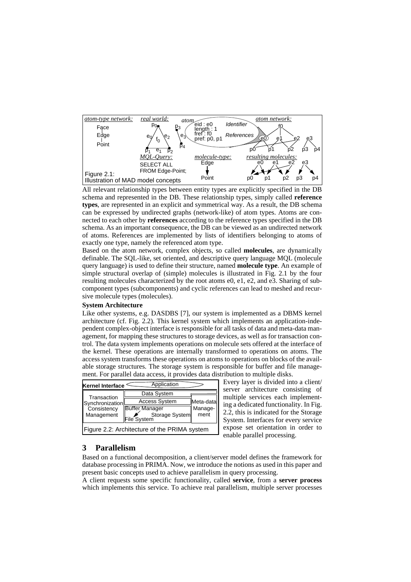

All relevant relationship types between entity types are explicitly specified in the DB schema and represented in the DB. These relationship types, simply called **reference types**, are represented in an explicit and symmetrical way. As a result, the DB schema can be expressed by undirected graphs (network-like) of atom types. Atoms are connected to each other by **references** according to the reference types specified in the DB schema. As an important consequence, the DB can be viewed as an undirected network of atoms. References are implemented by lists of identifiers belonging to atoms of exactly one type, namely the referenced atom type.

Based on the atom network, complex objects, so called **molecules**, are dynamically definable. The SQL-like, set oriented, and descriptive query language MQL (molecule query language) is used to define their structure, named **molecule type**. An example of simple structural overlap of (simple) molecules is illustrated in Fig. 2.1 by the four resulting molecules characterized by the root atoms e0, e1, e2, and e3. Sharing of subcomponent types (subcomponents) and cyclic references can lead to meshed and recursive molecule types (molecules).

#### **System Architecture**

Like other systems, e.g. DASDBS [7], our system is implemented as a DBMS kernel architecture (cf. Fig. 2.2). This kernel system which implements an application-independent complex-object interface is responsible for all tasks of data and meta-data management, for mapping these structures to storage devices, as well as for transaction control. The data system implements operations on molecule sets offered at the interface of the kernel. These operations are internally transformed to operations on atoms. The access system transforms these operations on atoms to operations on blocks of the available storage structures. The storage system is responsible for buffer and file management. For parallel data access, it provides data distribution to multiple disks.

| Application<br><b>Kernel Interface</b>                      |                               |                      |  |  |  |
|-------------------------------------------------------------|-------------------------------|----------------------|--|--|--|
| Transaction<br>Synchronization<br>Consistency<br>Management | Data System                   |                      |  |  |  |
|                                                             | <b>Access System</b>          | Meta-data<br>Manage- |  |  |  |
|                                                             | <b>Buffer Manager</b>         |                      |  |  |  |
|                                                             | Storage System<br>File System | ment                 |  |  |  |
| Figure 2.2: Architecture of the PRIMA system                |                               |                      |  |  |  |

Every layer is divided into a client/ server architecture consisting of multiple services each implementing a dedicated functionality. In Fig. 2.2, this is indicated for the Storage System. Interfaces for every service expose set orientation in order to enable parallel processing.

#### **3 Parallelism**

Based on a functional decomposition, a client/server model defines the framework for database processing in PRIMA. Now, we introduce the notions as used in this paper and present basic concepts used to achieve parallelism in query processing.

A client requests some specific functionality, called **service**, from a **server process** which implements this service. To achieve real parallelism, multiple server processes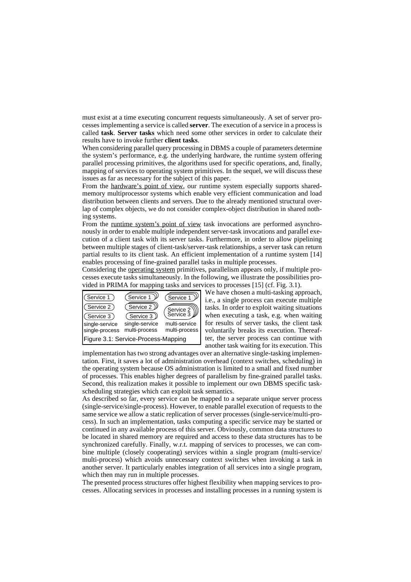must exist at a time executing concurrent requests simultaneously. A set of server processes implementing a service is called **server**. The execution of a service in a process is called **task**. **Server tasks** which need some other services in order to calculate their results have to invoke further **client tasks**.

When considering parallel query processing in DBMS a couple of parameters determine the system's performance, e.g. the underlying hardware, the runtime system offering parallel processing primitives, the algorithms used for specific operations, and, finally, mapping of services to operating system primitives. In the sequel, we will discuss these issues as far as necessary for the subject of this paper.

From the hardware's point of view, our runtime system especially supports sharedmemory multiprocessor systems which enable very efficient communication and load distribution between clients and servers. Due to the already mentioned structural overlap of complex objects, we do not consider complex-object distribution in shared nothing systems.

From the <u>runtime system's point of view</u> task invocations are performed asynchronously in order to enable multiple independent server-task invocations and parallel execution of a client task with its server tasks. Furthermore, in order to allow pipelining between multiple stages of client-task/server-task relationships, a server task can return partial results to its client task. An efficient implementation of a runtime system [14] enables processing of fine-grained parallel tasks in multiple processes.

Considering the operating system primitives, parallelism appears only, if multiple processes execute tasks simultaneously. In the following, we illustrate the possibilities provided in PRIMA for mapping tasks and services to processes [15] (cf. Fig. 3.1).



We have chosen a multi-tasking approach, i.e., a single process can execute multiple tasks. In order to exploit waiting situations when executing a task, e.g. when waiting for results of server tasks, the client task voluntarily breaks its execution. Thereafter, the server process can continue with another task waiting for its execution. This

implementation has two strong advantages over an alternative single-tasking implementation. First, it saves a lot of administration overhead (context switches, scheduling) in the operating system because OS administration is limited to a small and fixed number of processes. This enables higher degrees of parallelism by fine-grained parallel tasks. Second, this realization makes it possible to implement our own DBMS specific taskscheduling strategies which can exploit task semantics.

As described so far, every service can be mapped to a separate unique server process (single-service/single-process). However, to enable parallel execution of requests to the same service we allow a static replication of server processes (single-service/multi-process). In such an implementation, tasks computing a specific service may be started or continued in any available process of this server. Obviously, common data structures to be located in shared memory are required and access to these data structures has to be synchronized carefully. Finally, w.r.t. mapping of services to processes, we can combine multiple (closely cooperating) services within a single program (multi-service/ multi-process) which avoids unnecessary context switches when invoking a task in another server. It particularly enables integration of all services into a single program, which then may run in multiple processes.

The presented process structures offer highest flexibility when mapping services to processes. Allocating services in processes and installing processes in a running system is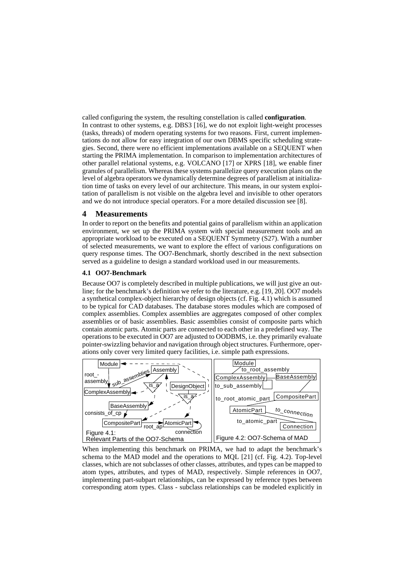called configuring the system, the resulting constellation is called **configuration**. In contrast to other systems, e.g. DBS3 [16], we do not exploit light-weight processes (tasks, threads) of modern operating systems for two reasons. First, current implementations do not allow for easy integration of our own DBMS specific scheduling strategies. Second, there were no efficient implementations available on a SEQUENT when starting the PRIMA implementation. In comparison to implementation architectures of other parallel relational systems, e.g. VOLCANO [17] or XPRS [18], we enable finer granules of parallelism. Whereas these systems parallelize query execution plans on the level of algebra operators we dynamically determine degrees of parallelism at initialization time of tasks on every level of our architecture. This means, in our system exploitation of parallelism is not visible on the algebra level and invisible to other operators and we do not introduce special operators. For a more detailed discussion see [8].

## **4 Measurements**

In order to report on the benefits and potential gains of parallelism within an application environment, we set up the PRIMA system with special measurement tools and an appropriate workload to be executed on a SEQUENT Symmetry (S27). With a number of selected measurements, we want to explore the effect of various configurations on query response times. The OO7-Benchmark, shortly described in the next subsection served as a guideline to design a standard workload used in our measurements.

#### **4.1 OO7-Benchmark**

Because OO7 is completely described in multiple publications, we will just give an outline; for the benchmark's definition we refer to the literature, e.g. [19, 20]. OO7 models a synthetical complex-object hierarchy of design objects (cf. Fig. 4.1) which is assumed to be typical for CAD databases. The database stores modules which are composed of complex assemblies. Complex assemblies are aggregates composed of other complex assemblies or of basic assemblies. Basic assemblies consist of composite parts which contain atomic parts. Atomic parts are connected to each other in a predefined way. The operations to be executed in OO7 are adjusted to OODBMS, i.e. they primarily evaluate pointer-swizzling behavior and navigation through object structures. Furthermore, operations only cover very limited query facilities, i.e. simple path expressions.



When implementing this benchmark on PRIMA, we had to adapt the benchmark's schema to the MAD model and the operations to MQL [21] (cf. Fig. 4.2). Top-level classes, which are not subclasses of other classes, attributes, and types can be mapped to atom types, attributes, and types of MAD, respectively. Simple references in OO7, implementing part-subpart relationships, can be expressed by reference types between corresponding atom types. Class - subclass relationships can be modeled explicitly in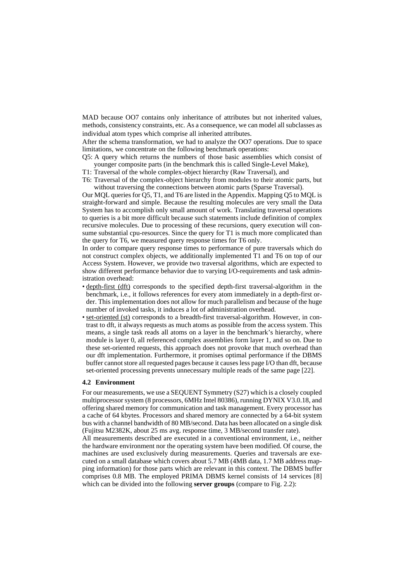MAD because OO7 contains only inheritance of attributes but not inherited values, methods, consistency constraints, etc. As a consequence, we can model all subclasses as individual atom types which comprise all inherited attributes.

After the schema transformation, we had to analyze the OO7 operations. Due to space limitations, we concentrate on the following benchmark operations:

Q5: A query which returns the numbers of those basic assemblies which consist of younger composite parts (in the benchmark this is called Single-Level Make),

T1: Traversal of the whole complex-object hierarchy (Raw Traversal), and

T6: Traversal of the complex-object hierarchy from modules to their atomic parts, but without traversing the connections between atomic parts (Sparse Traversal).

Our MQL queries for Q5, T1, and T6 are listed in the Appendix. Mapping Q5 to MQL is straight-forward and simple. Because the resulting molecules are very small the Data System has to accomplish only small amount of work. Translating traversal operations to queries is a bit more difficult because such statements include definition of complex recursive molecules. Due to processing of these recursions, query execution will consume substantial cpu-resources. Since the query for T1 is much more complicated than the query for T6, we measured query response times for T6 only.

In order to compare query response times to performance of pure traversals which do not construct complex objects, we additionally implemented T1 and T6 on top of our Access System. However, we provide two traversal algorithms, which are expected to show different performance behavior due to varying I/O-requirements and task administration overhead:

- depth-first (dft) corresponds to the specified depth-first traversal-algorithm in the benchmark, i.e., it follows references for every atom immediately in a depth-first order. This implementation does not allow for much parallelism and because of the huge number of invoked tasks, it induces a lot of administration overhead.
- set-oriented (st) corresponds to a breadth-first traversal-algorithm. However, in contrast to dft, it always requests as much atoms as possible from the access system. This means, a single task reads all atoms on a layer in the benchmark's hierarchy, where module is layer 0, all referenced complex assemblies form layer 1, and so on. Due to these set-oriented requests, this approach does not provoke that much overhead than our dft implementation. Furthermore, it promises optimal performance if the DBMS buffer cannot store all requested pages because it causes less page I/O than dft, because set-oriented processing prevents unnecessary multiple reads of the same page [22].

#### **4.2 Environment**

For our measurements, we use a SEQUENT Symmetry (S27) which is a closely coupled multiprocessor system (8 processors, 6MHz Intel 80386), running DYNIX V3.0.18, and offering shared memory for communication and task management. Every processor has a cache of 64 kbytes. Processors and shared memory are connected by a 64-bit system bus with a channel bandwidth of 80 MB/second. Data has been allocated on a single disk (Fujitsu M2382K, about 25 ms avg. response time, 3 MB/second transfer rate).

All measurements described are executed in a conventional environment, i.e., neither the hardware environment nor the operating system have been modified. Of course, the machines are used exclusively during measurements. Queries and traversals are executed on a small database which covers about 5.7 MB (4MB data, 1.7 MB address mapping information) for those parts which are relevant in this context. The DBMS buffer comprises 0.8 MB. The employed PRIMA DBMS kernel consists of 14 services [8] which can be divided into the following **server groups** (compare to Fig. 2.2):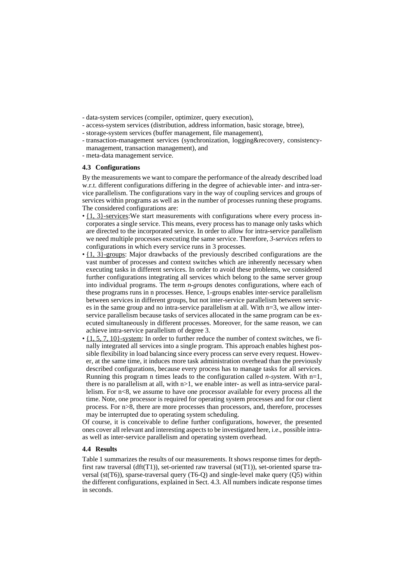- data-system services (compiler, optimizer, query execution),
- access-system services (distribution, address information, basic storage, btree),
- storage-system services (buffer management, file management),
- transaction-management services (synchronization, logging&recovery, consistency-
- management, transaction management), and - meta-data management service.

# **4.3 Configurations**

By the measurements we want to compare the performance of the already described load w.r.t. different configurations differing in the degree of achievable inter- and intra-service parallelism. The configurations vary in the way of coupling services and groups of services within programs as well as in the number of processes running these programs. The considered configurations are:

- $\cdot$  {1, 3}-services: We start measurements with configurations where every process incorporates a single service. This means, every process has to manage only tasks which are directed to the incorporated service. In order to allow for intra-service parallelism we need multiple processes executing the same service. Therefore, *3-services* refers to configurations in which every service runs in 3 processes.
- $\{1, 3\}$ -groups: Major drawbacks of the previously described configurations are the vast number of processes and context switches which are inherently necessary when executing tasks in different services. In order to avoid these problems, we considered further configurations integrating all services which belong to the same server group into individual programs. The term *n-groups* denotes configurations, where each of these programs runs in n processes. Hence, 1-groups enables inter-service parallelism between services in different groups, but not inter-service parallelism between services in the same group and no intra-service parallelism at all. With n=3, we allow interservice parallelism because tasks of services allocated in the same program can be executed simultaneously in different processes. Moreover, for the same reason, we can achieve intra-service parallelism of degree 3.
- $\cdot$  {1, 5, 7, 10}-system: In order to further reduce the number of context switches, we finally integrated all services into a single program. This approach enables highest possible flexibility in load balancing since every process can serve every request. However, at the same time, it induces more task administration overhead than the previously described configurations, because every process has to manage tasks for all services. Running this program n times leads to the configuration called *n-system*. With  $n=1$ . there is no parallelism at all, with  $n>1$ , we enable inter- as well as intra-service parallelism. For  $n<8$ , we assume to have one processor available for every process all the time. Note, one processor is required for operating system processes and for our client process. For n>8, there are more processes than processors, and, therefore, processes may be interrupted due to operating system scheduling.

Of course, it is conceivable to define further configurations, however, the presented ones cover all relevant and interesting aspects to be investigated here, i.e., possible intraas well as inter-service parallelism and operating system overhead.

#### **4.4 Results**

Table 1 summarizes the results of our measurements. It shows response times for depthfirst raw traversal (dft(T1)), set-oriented raw traversal (st(T1)), set-oriented sparse traversal (st(T6)), sparse-traversal query (T6-Q) and single-level make query (Q5) within the different configurations, explained in Sect. 4.3. All numbers indicate response times in seconds.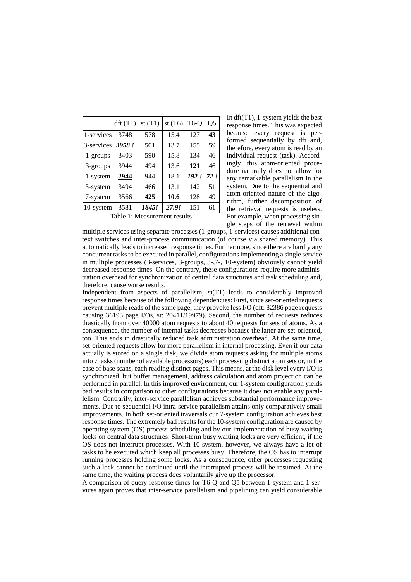|              | dft(T1) | st $(T1)$ | st $(T6)$ | T <sub>6</sub> -Q | Q <sub>5</sub> |
|--------------|---------|-----------|-----------|-------------------|----------------|
| 1-services   | 3748    | 578       | 15.4      | 127               | 43             |
| 3-services   | 3958!   | 501       | 13.7      | 155               | 59             |
| 1-groups     | 3403    | 590       | 15.8      | 134               | 46             |
| 3-groups     | 3944    | 494       | 13.6      | <u>121</u>        | 46             |
| 1-system     | 2944    | 944       | 18.1      | 192!              | 72!            |
| 3-system     | 3494    | 466       | 13.1      | 142               | 51             |
| 7-system     | 3566    | 425       | 10.6      | 128               | 49             |
| $10$ -system | 3581    | 1845!     | 27.9!     | 151               | 61             |

Table 1: Measurement results

In dft(T1), 1-system yields the best response times. This was expected because every request is performed sequentially by dft and, therefore, every atom is read by an individual request (task). Accordingly, this atom-oriented procedure naturally does not allow for any remarkable parallelism in the system. Due to the sequential and atom-oriented nature of the algorithm, further decomposition of the retrieval requests is useless. For example, when processing single steps of the retrieval within

multiple services using separate processes (1-groups, 1-services) causes additional context switches and inter-process communication (of course via shared memory). This automatically leads to increased response times. Furthermore, since there are hardly any concurrent tasks to be executed in parallel, configurations implementing a single service in multiple processes (3-services, 3-groups, 3-,7-, 10-system) obviously cannot yield decreased response times. On the contrary, these configurations require more administration overhead for synchronization of central data structures and task scheduling and, therefore, cause worse results.

Independent from aspects of parallelism, st(T1) leads to considerably improved response times because of the following dependencies: First, since set-oriented requests prevent multiple reads of the same page, they provoke less I/O (dft: 82386 page requests causing 36193 page I/Os, st: 20411/19979). Second, the number of requests reduces drastically from over 40000 atom requests to about 40 requests for sets of atoms. As a consequence, the number of internal tasks decreases because the latter are set-oriented, too. This ends in drastically reduced task administration overhead. At the same time, set-oriented requests allow for more parallelism in internal processing. Even if our data actually is stored on a single disk, we divide atom requests asking for multiple atoms into 7 tasks (number of available processors) each processing distinct atom sets or, in the case of base scans, each reading distinct pages. This means, at the disk level every I/O is synchronized, but buffer management, address calculation and atom projection can be performed in parallel. In this improved environment, our 1-system configuration yields bad results in comparison to other configurations because it does not enable any parallelism. Contrarily, inter-service parallelism achieves substantial performance improvements. Due to sequential I/O intra-service parallelism attains only comparatively small improvements. In both set-oriented traversals our 7-system configuration achieves best response times. The extremely bad results for the 10-system configuration are caused by operating system (OS) process scheduling and by our implementation of busy waiting locks on central data structures. Short-term busy waiting locks are very efficient, if the OS does not interrupt processes. With 10-system, however, we always have a lot of tasks to be executed which keep all processes busy. Therefore, the OS has to interrupt running processes holding some locks. As a consequence, other processes requesting such a lock cannot be continued until the interrupted process will be resumed. At the same time, the waiting process does voluntarily give up the processor.

A comparison of query response times for T6-Q and Q5 between 1-system and 1-services again proves that inter-service parallelism and pipelining can yield considerable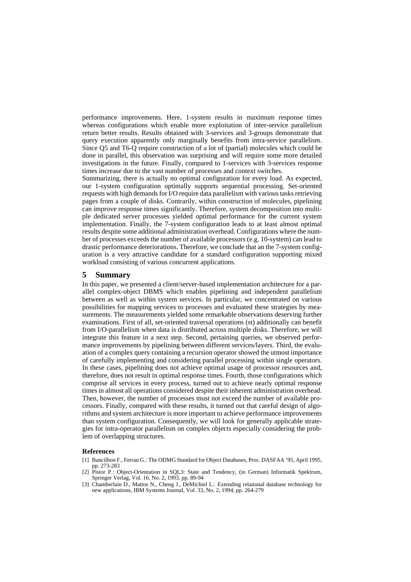performance improvements. Here, 1-system results in maximum response times whereas configurations which enable more exploitation of inter-service parallelism return better results. Results obtained with 3-services and 3-groups demonstrate that query execution apparently only marginally benefits from intra-service parallelism. Since Q5 and T6-Q require construction of a lot of (partial) molecules which could be done in parallel, this observation was surprising and will require some more detailed investigations in the future. Finally, compared to 1-services with 3-services response times increase due to the vast number of processes and context switches.

Summarizing, there is actually no optimal configuration for every load. As expected, our 1-system configuration optimally supports sequential processing. Set-oriented requests with high demands for I/O require data parallelism with various tasks retrieving pages from a couple of disks. Contrarily, within construction of molecules, pipelining can improve response times significantly. Therefore, system decomposition into multiple dedicated server processes yielded optimal performance for the current system implementation. Finally, the 7-system configuration leads to at least almost optimal results despite some additional administration overhead. Configurations where the number of processes exceeds the number of available processors (e.g. 10-system) can lead to drastic performance deteriorations. Therefore, we conclude that an the 7-system configuration is a very attractive candidate for a standard configuration supporting mixed workload consisting of various concurrent applications.

#### **5 Summary**

In this paper, we presented a client/server-based implementation architecture for a parallel complex-object DBMS which enables pipelining and independent parallelism between as well as within system services. In particular, we concentrated on various possibilities for mapping services to processes and evaluated these strategies by measurements. The measurements yielded some remarkable observations deserving further examinations. First of all, set-oriented traversal operations (st) additionally can benefit from I/O-parallelism when data is distributed across multiple disks. Therefore, we will integrate this feature in a next step. Second, pertaining queries, we observed performance improvements by pipelining between different services/layers. Third, the evaluation of a complex query containing a recursion operator showed the utmost importance of carefully implementing and considering parallel processing within single operators. In these cases, pipelining does not achieve optimal usage of processor resources and, therefore, does not result in optimal response times. Fourth, those configurations which comprise all services in every process, turned out to achieve nearly optimal response times in almost all operations considered despite their inherent administration overhead. Then, however, the number of processes must not exceed the number of available processors. Finally, compared with these results, it turned out that careful design of algorithms and system architecture is more important to achieve performance improvements than system configuration. Consequently, we will look for generally applicable strategies for intra-operator parallelism on complex objects especially considering the problem of overlapping structures.

#### **References**

- [1] Bancilhon F., Ferran G.: The ODMG Standard for Object Databases, Proc. DASFAA '95, April 1995, pp. 273-283
- [2] Pistor P.: Object-Orientation in SQL3: State and Tendency, (in German) Informatik Spektrum, Springer Verlag, Vol. 16, No. 2, 1993, pp. 89-94
- [3] Chamberlain D., Mattos N., Cheng J., DeMichiel L.: Extending relational database technology for new applications, IBM Systems Journal, Vol. 33, No. 2, 1994, pp. 264-279